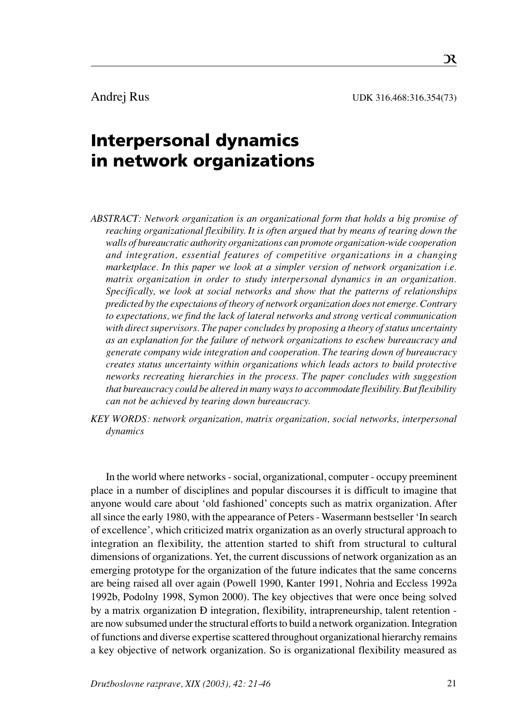# Interpersonal dynamics in network organizations

- *ABSTRACT: Network organization is an organizational form that holds a big promise of reaching organizational flexibility. It is often argued that by means of tearing down the walls of bureaucratic authority organizations can promote organization-wide cooperation and integration, essential features of competitive organizations in a changing marketplace. In this paper we look at a simpler version of network organization i.e. matrix organization in order to study interpersonal dynamics in an organization. Specifically, we look at social networks and show that the patterns of relationships predicted by the expectaions of theory of network organization does not emerge. Contrary to expectations, we find the lack of lateral networks and strong vertical communication with direct supervisors. The paper concludes by proposing a theory of status uncertainty as an explanation for the failure of network organizations to eschew bureaucracy and generate company wide integration and cooperation. The tearing down of bureaucracy creates status uncertainty within organizations which leads actors to build protective neworks recreating hierarchies in the process. The paper concludes with suggestion that bureaucracy could be altered in many ways to accommodate flexibility. But flexibility can not be achieved by tearing down bureaucracy.*
- *KEY WORDS: network organization, matrix organization, social networks, interpersonal dynamics*

In the world where networks - social, organizational, computer - occupy preeminent place in a number of disciplines and popular discourses it is difficult to imagine that anyone would care about 'old fashioned' concepts such as matrix organization. After all since the early 1980, with the appearance of Peters - Wasermann bestseller 'In search of excellence', which criticized matrix organization as an overly structural approach to integration an flexibility, the attention started to shift from structural to cultural dimensions of organizations. Yet, the current discussions of network organization as an emerging prototype for the organization of the future indicates that the same concerns are being raised all over again (Powell 1990, Kanter 1991, Nohria and Eccless 1992a 1992b, Podolny 1998, Symon 2000). The key objectives that were once being solved by a matrix organization  $\bf{D}$  integration, flexibility, intrapreneurship, talent retention are now subsumed under the structural efforts to build a network organization. Integration of functions and diverse expertise scattered throughout organizational hierarchy remains a key objective of network organization. So is organizational flexibility measured as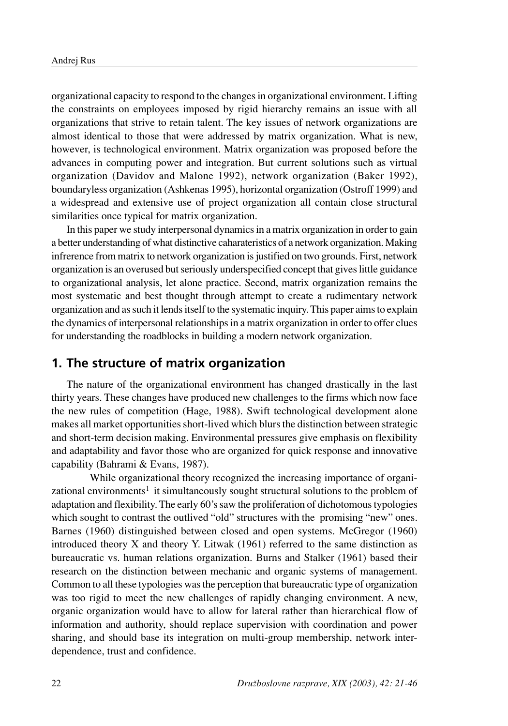organizational capacity to respond to the changes in organizational environment. Lifting the constraints on employees imposed by rigid hierarchy remains an issue with all organizations that strive to retain talent. The key issues of network organizations are almost identical to those that were addressed by matrix organization. What is new, however, is technological environment. Matrix organization was proposed before the advances in computing power and integration. But current solutions such as virtual organization (Davidov and Malone 1992), network organization (Baker 1992), boundaryless organization (Ashkenas 1995), horizontal organization (Ostroff 1999) and a widespread and extensive use of project organization all contain close structural similarities once typical for matrix organization.

In this paper we study interpersonal dynamics in a matrix organization in order to gain a better understanding of what distinctive caharateristics of a network organization. Making infrerence from matrix to network organization is justified on two grounds. First, network organization is an overused but seriously underspecified concept that gives little guidance to organizational analysis, let alone practice. Second, matrix organization remains the most systematic and best thought through attempt to create a rudimentary network organization and as such it lends itself to the systematic inquiry. This paper aims to explain the dynamics of interpersonal relationships in a matrix organization in order to offer clues for understanding the roadblocks in building a modern network organization.

## **1. The structure of matrix organization**

The nature of the organizational environment has changed drastically in the last thirty years. These changes have produced new challenges to the firms which now face the new rules of competition (Hage, 1988). Swift technological development alone makes all market opportunities short-lived which blurs the distinction between strategic and short-term decision making. Environmental pressures give emphasis on flexibility and adaptability and favor those who are organized for quick response and innovative capability (Bahrami & Evans, 1987).

While organizational theory recognized the increasing importance of organizational environments<sup>1</sup> it simultaneously sought structural solutions to the problem of adaptation and flexibility. The early 60's saw the proliferation of dichotomous typologies which sought to contrast the outlived "old" structures with the promising "new" ones. Barnes (1960) distinguished between closed and open systems. McGregor (1960) introduced theory X and theory Y. Litwak (1961) referred to the same distinction as bureaucratic vs. human relations organization. Burns and Stalker (1961) based their research on the distinction between mechanic and organic systems of management. Common to all these typologies was the perception that bureaucratic type of organization was too rigid to meet the new challenges of rapidly changing environment. A new, organic organization would have to allow for lateral rather than hierarchical flow of information and authority, should replace supervision with coordination and power sharing, and should base its integration on multi-group membership, network interdependence, trust and confidence.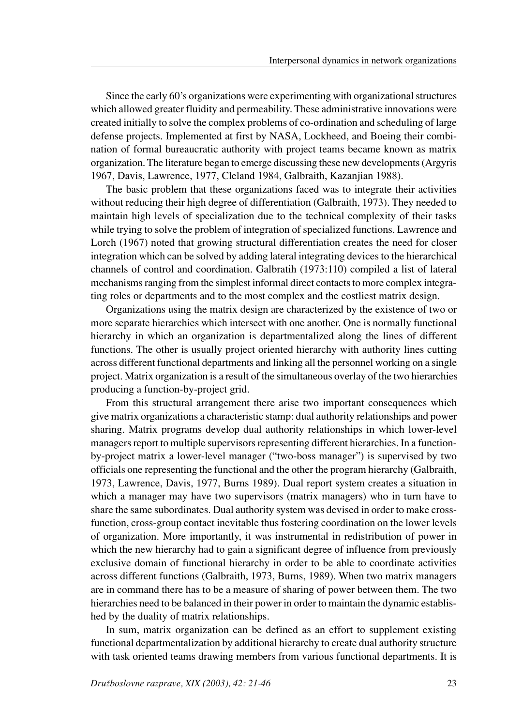Since the early 60's organizations were experimenting with organizational structures which allowed greater fluidity and permeability. These administrative innovations were created initially to solve the complex problems of co-ordination and scheduling of large defense projects. Implemented at first by NASA, Lockheed, and Boeing their combination of formal bureaucratic authority with project teams became known as matrix organization. The literature began to emerge discussing these new developments (Argyris 1967, Davis, Lawrence, 1977, Cleland 1984, Galbraith, Kazanjian 1988).

The basic problem that these organizations faced was to integrate their activities without reducing their high degree of differentiation (Galbraith, 1973). They needed to maintain high levels of specialization due to the technical complexity of their tasks while trying to solve the problem of integration of specialized functions. Lawrence and Lorch (1967) noted that growing structural differentiation creates the need for closer integration which can be solved by adding lateral integrating devices to the hierarchical channels of control and coordination. Galbratih (1973:110) compiled a list of lateral mechanisms ranging from the simplest informal direct contacts to more complex integrating roles or departments and to the most complex and the costliest matrix design.

Organizations using the matrix design are characterized by the existence of two or more separate hierarchies which intersect with one another. One is normally functional hierarchy in which an organization is departmentalized along the lines of different functions. The other is usually project oriented hierarchy with authority lines cutting across different functional departments and linking all the personnel working on a single project. Matrix organization is a result of the simultaneous overlay of the two hierarchies producing a function-by-project grid.

From this structural arrangement there arise two important consequences which give matrix organizations a characteristic stamp: dual authority relationships and power sharing. Matrix programs develop dual authority relationships in which lower-level managers report to multiple supervisors representing different hierarchies. In a functionby-project matrix a lower-level manager ("two-boss manager") is supervised by two officials one representing the functional and the other the program hierarchy (Galbraith, 1973, Lawrence, Davis, 1977, Burns 1989). Dual report system creates a situation in which a manager may have two supervisors (matrix managers) who in turn have to share the same subordinates. Dual authority system was devised in order to make crossfunction, cross-group contact inevitable thus fostering coordination on the lower levels of organization. More importantly, it was instrumental in redistribution of power in which the new hierarchy had to gain a significant degree of influence from previously exclusive domain of functional hierarchy in order to be able to coordinate activities across different functions (Galbraith, 1973, Burns, 1989). When two matrix managers are in command there has to be a measure of sharing of power between them. The two hierarchies need to be balanced in their power in order to maintain the dynamic established by the duality of matrix relationships.

In sum, matrix organization can be defined as an effort to supplement existing functional departmentalization by additional hierarchy to create dual authority structure with task oriented teams drawing members from various functional departments. It is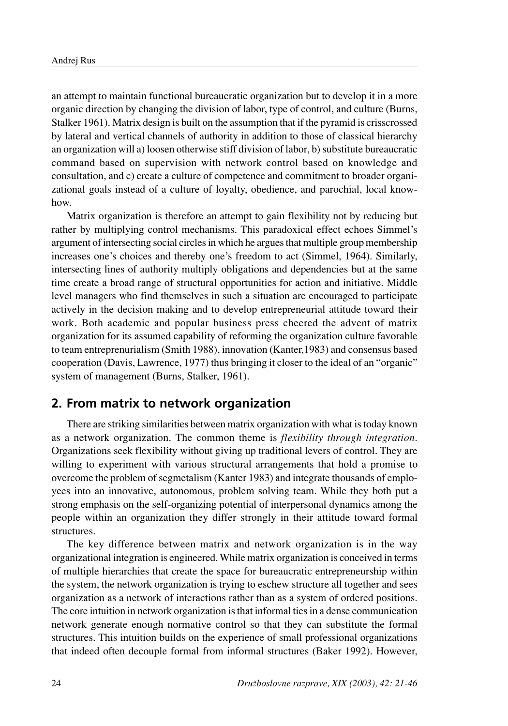an attempt to maintain functional bureaucratic organization but to develop it in a more organic direction by changing the division of labor, type of control, and culture (Burns, Stalker 1961). Matrix design is built on the assumption that if the pyramid is crisscrossed by lateral and vertical channels of authority in addition to those of classical hierarchy an organization will a) loosen otherwise stiff division of labor, b) substitute bureaucratic command based on supervision with network control based on knowledge and consultation, and c) create a culture of competence and commitment to broader organizational goals instead of a culture of loyalty, obedience, and parochial, local knowhow.

Matrix organization is therefore an attempt to gain flexibility not by reducing but rather by multiplying control mechanisms. This paradoxical effect echoes Simmel's argument of intersecting social circles in which he argues that multiple group membership increases one's choices and thereby one's freedom to act (Simmel, 1964). Similarly, intersecting lines of authority multiply obligations and dependencies but at the same time create a broad range of structural opportunities for action and initiative. Middle level managers who find themselves in such a situation are encouraged to participate actively in the decision making and to develop entrepreneurial attitude toward their work. Both academic and popular business press cheered the advent of matrix organization for its assumed capability of reforming the organization culture favorable to team entreprenurialism (Smith 1988), innovation (Kanter,1983) and consensus based cooperation (Davis, Lawrence, 1977) thus bringing it closer to the ideal of an "organic" system of management (Burns, Stalker, 1961).

## **2. From matrix to network organization**

There are striking similarities between matrix organization with what is today known as a network organization. The common theme is *flexibility through integration*. Organizations seek flexibility without giving up traditional levers of control. They are willing to experiment with various structural arrangements that hold a promise to overcome the problem of segmetalism (Kanter 1983) and integrate thousands of employees into an innovative, autonomous, problem solving team. While they both put a strong emphasis on the self-organizing potential of interpersonal dynamics among the people within an organization they differ strongly in their attitude toward formal structures.

The key difference between matrix and network organization is in the way organizational integration is engineered. While matrix organization is conceived in terms of multiple hierarchies that create the space for bureaucratic entrepreneurship within the system, the network organization is trying to eschew structure all together and sees organization as a network of interactions rather than as a system of ordered positions. The core intuition in network organization is that informal ties in a dense communication network generate enough normative control so that they can substitute the formal structures. This intuition builds on the experience of small professional organizations that indeed often decouple formal from informal structures (Baker 1992). However,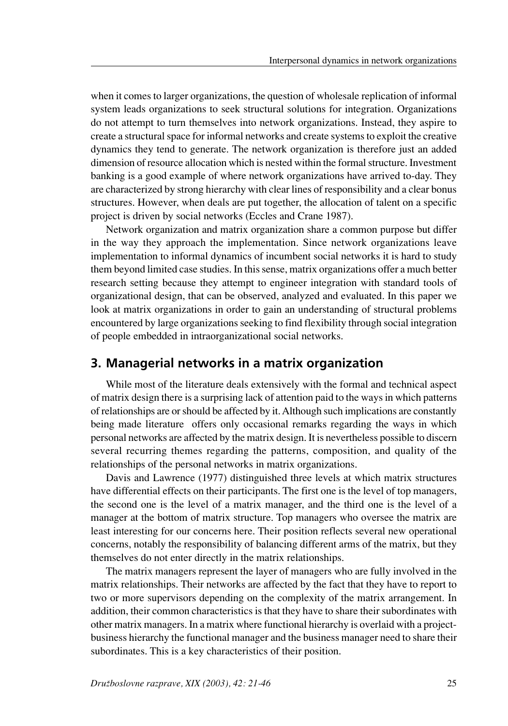when it comes to larger organizations, the question of wholesale replication of informal system leads organizations to seek structural solutions for integration. Organizations do not attempt to turn themselves into network organizations. Instead, they aspire to create a structural space for informal networks and create systems to exploit the creative dynamics they tend to generate. The network organization is therefore just an added dimension of resource allocation which is nested within the formal structure. Investment banking is a good example of where network organizations have arrived to-day. They are characterized by strong hierarchy with clear lines of responsibility and a clear bonus structures. However, when deals are put together, the allocation of talent on a specific project is driven by social networks (Eccles and Crane 1987).

Network organization and matrix organization share a common purpose but differ in the way they approach the implementation. Since network organizations leave implementation to informal dynamics of incumbent social networks it is hard to study them beyond limited case studies. In this sense, matrix organizations offer a much better research setting because they attempt to engineer integration with standard tools of organizational design, that can be observed, analyzed and evaluated. In this paper we look at matrix organizations in order to gain an understanding of structural problems encountered by large organizations seeking to find flexibility through social integration of people embedded in intraorganizational social networks.

## **3. Managerial networks in a matrix organization**

While most of the literature deals extensively with the formal and technical aspect of matrix design there is a surprising lack of attention paid to the ways in which patterns of relationships are or should be affected by it. Although such implications are constantly being made literature offers only occasional remarks regarding the ways in which personal networks are affected by the matrix design. It is nevertheless possible to discern several recurring themes regarding the patterns, composition, and quality of the relationships of the personal networks in matrix organizations.

Davis and Lawrence (1977) distinguished three levels at which matrix structures have differential effects on their participants. The first one is the level of top managers, the second one is the level of a matrix manager, and the third one is the level of a manager at the bottom of matrix structure. Top managers who oversee the matrix are least interesting for our concerns here. Their position reflects several new operational concerns, notably the responsibility of balancing different arms of the matrix, but they themselves do not enter directly in the matrix relationships.

The matrix managers represent the layer of managers who are fully involved in the matrix relationships. Their networks are affected by the fact that they have to report to two or more supervisors depending on the complexity of the matrix arrangement. In addition, their common characteristics is that they have to share their subordinates with other matrix managers. In a matrix where functional hierarchy is overlaid with a projectbusiness hierarchy the functional manager and the business manager need to share their subordinates. This is a key characteristics of their position.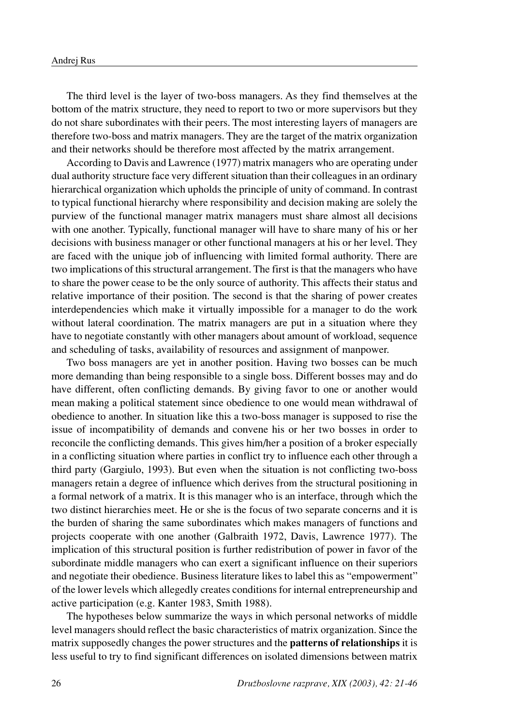The third level is the layer of two-boss managers. As they find themselves at the bottom of the matrix structure, they need to report to two or more supervisors but they do not share subordinates with their peers. The most interesting layers of managers are therefore two-boss and matrix managers. They are the target of the matrix organization and their networks should be therefore most affected by the matrix arrangement.

According to Davis and Lawrence (1977) matrix managers who are operating under dual authority structure face very different situation than their colleagues in an ordinary hierarchical organization which upholds the principle of unity of command. In contrast to typical functional hierarchy where responsibility and decision making are solely the purview of the functional manager matrix managers must share almost all decisions with one another. Typically, functional manager will have to share many of his or her decisions with business manager or other functional managers at his or her level. They are faced with the unique job of influencing with limited formal authority. There are two implications of this structural arrangement. The first is that the managers who have to share the power cease to be the only source of authority. This affects their status and relative importance of their position. The second is that the sharing of power creates interdependencies which make it virtually impossible for a manager to do the work without lateral coordination. The matrix managers are put in a situation where they have to negotiate constantly with other managers about amount of workload, sequence and scheduling of tasks, availability of resources and assignment of manpower.

Two boss managers are yet in another position. Having two bosses can be much more demanding than being responsible to a single boss. Different bosses may and do have different, often conflicting demands. By giving favor to one or another would mean making a political statement since obedience to one would mean withdrawal of obedience to another. In situation like this a two-boss manager is supposed to rise the issue of incompatibility of demands and convene his or her two bosses in order to reconcile the conflicting demands. This gives him/her a position of a broker especially in a conflicting situation where parties in conflict try to influence each other through a third party (Gargiulo, 1993). But even when the situation is not conflicting two-boss managers retain a degree of influence which derives from the structural positioning in a formal network of a matrix. It is this manager who is an interface, through which the two distinct hierarchies meet. He or she is the focus of two separate concerns and it is the burden of sharing the same subordinates which makes managers of functions and projects cooperate with one another (Galbraith 1972, Davis, Lawrence 1977). The implication of this structural position is further redistribution of power in favor of the subordinate middle managers who can exert a significant influence on their superiors and negotiate their obedience. Business literature likes to label this as "empowerment" of the lower levels which allegedly creates conditions for internal entrepreneurship and active participation (e.g. Kanter 1983, Smith 1988).

The hypotheses below summarize the ways in which personal networks of middle level managers should reflect the basic characteristics of matrix organization. Since the matrix supposedly changes the power structures and the **patterns of relationships** it is less useful to try to find significant differences on isolated dimensions between matrix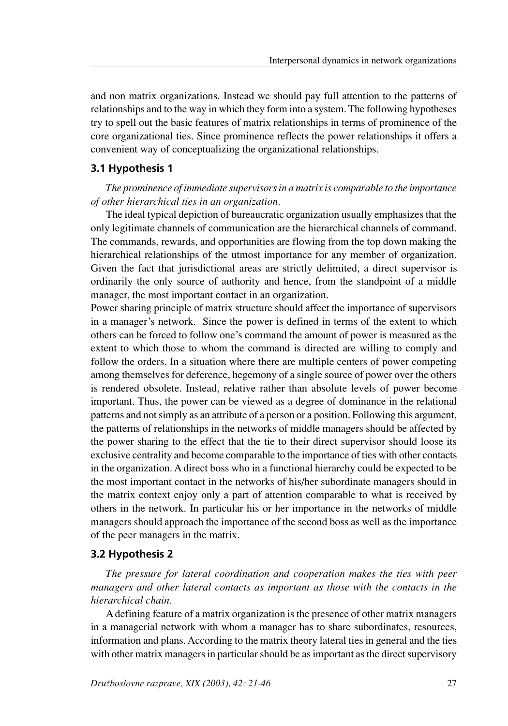and non matrix organizations. Instead we should pay full attention to the patterns of relationships and to the way in which they form into a system. The following hypotheses try to spell out the basic features of matrix relationships in terms of prominence of the core organizational ties. Since prominence reflects the power relationships it offers a convenient way of conceptualizing the organizational relationships.

## **3.1 Hypothesis 1**

*The prominence of immediate supervisors in a matrix is comparable to the importance of other hierarchical ties in an organization.*

The ideal typical depiction of bureaucratic organization usually emphasizes that the only legitimate channels of communication are the hierarchical channels of command. The commands, rewards, and opportunities are flowing from the top down making the hierarchical relationships of the utmost importance for any member of organization. Given the fact that jurisdictional areas are strictly delimited, a direct supervisor is ordinarily the only source of authority and hence, from the standpoint of a middle manager, the most important contact in an organization.

Power sharing principle of matrix structure should affect the importance of supervisors in a manager's network. Since the power is defined in terms of the extent to which others can be forced to follow one's command the amount of power is measured as the extent to which those to whom the command is directed are willing to comply and follow the orders. In a situation where there are multiple centers of power competing among themselves for deference, hegemony of a single source of power over the others is rendered obsolete. Instead, relative rather than absolute levels of power become important. Thus, the power can be viewed as a degree of dominance in the relational patterns and not simply as an attribute of a person or a position. Following this argument, the patterns of relationships in the networks of middle managers should be affected by the power sharing to the effect that the tie to their direct supervisor should loose its exclusive centrality and become comparable to the importance of ties with other contacts in the organization. A direct boss who in a functional hierarchy could be expected to be the most important contact in the networks of his/her subordinate managers should in the matrix context enjoy only a part of attention comparable to what is received by others in the network. In particular his or her importance in the networks of middle managers should approach the importance of the second boss as well as the importance of the peer managers in the matrix.

## **3.2 Hypothesis 2**

*The pressure for lateral coordination and cooperation makes the ties with peer managers and other lateral contacts as important as those with the contacts in the hierarchical chain.*

A defining feature of a matrix organization is the presence of other matrix managers in a managerial network with whom a manager has to share subordinates, resources, information and plans. According to the matrix theory lateral ties in general and the ties with other matrix managers in particular should be as important as the direct supervisory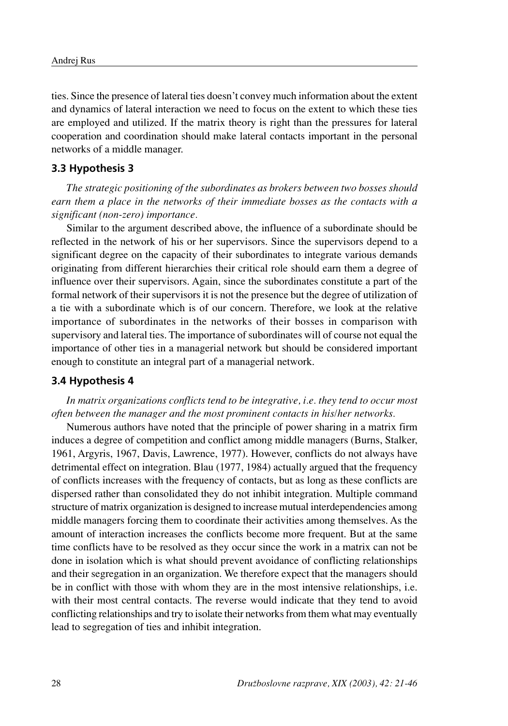ties. Since the presence of lateral ties doesn't convey much information about the extent and dynamics of lateral interaction we need to focus on the extent to which these ties are employed and utilized. If the matrix theory is right than the pressures for lateral cooperation and coordination should make lateral contacts important in the personal networks of a middle manager.

## **3.3 Hypothesis 3**

*The strategic positioning of the subordinates as brokers between two bosses should earn them a place in the networks of their immediate bosses as the contacts with a significant (non-zero) importance.*

Similar to the argument described above, the influence of a subordinate should be reflected in the network of his or her supervisors. Since the supervisors depend to a significant degree on the capacity of their subordinates to integrate various demands originating from different hierarchies their critical role should earn them a degree of influence over their supervisors. Again, since the subordinates constitute a part of the formal network of their supervisors it is not the presence but the degree of utilization of a tie with a subordinate which is of our concern. Therefore, we look at the relative importance of subordinates in the networks of their bosses in comparison with supervisory and lateral ties. The importance of subordinates will of course not equal the importance of other ties in a managerial network but should be considered important enough to constitute an integral part of a managerial network.

#### **3.4 Hypothesis 4**

## *In matrix organizations conflicts tend to be integrative, i.e. they tend to occur most often between the manager and the most prominent contacts in his/her networks.*

Numerous authors have noted that the principle of power sharing in a matrix firm induces a degree of competition and conflict among middle managers (Burns, Stalker, 1961, Argyris, 1967, Davis, Lawrence, 1977). However, conflicts do not always have detrimental effect on integration. Blau (1977, 1984) actually argued that the frequency of conflicts increases with the frequency of contacts, but as long as these conflicts are dispersed rather than consolidated they do not inhibit integration. Multiple command structure of matrix organization is designed to increase mutual interdependencies among middle managers forcing them to coordinate their activities among themselves. As the amount of interaction increases the conflicts become more frequent. But at the same time conflicts have to be resolved as they occur since the work in a matrix can not be done in isolation which is what should prevent avoidance of conflicting relationships and their segregation in an organization. We therefore expect that the managers should be in conflict with those with whom they are in the most intensive relationships, i.e. with their most central contacts. The reverse would indicate that they tend to avoid conflicting relationships and try to isolate their networks from them what may eventually lead to segregation of ties and inhibit integration.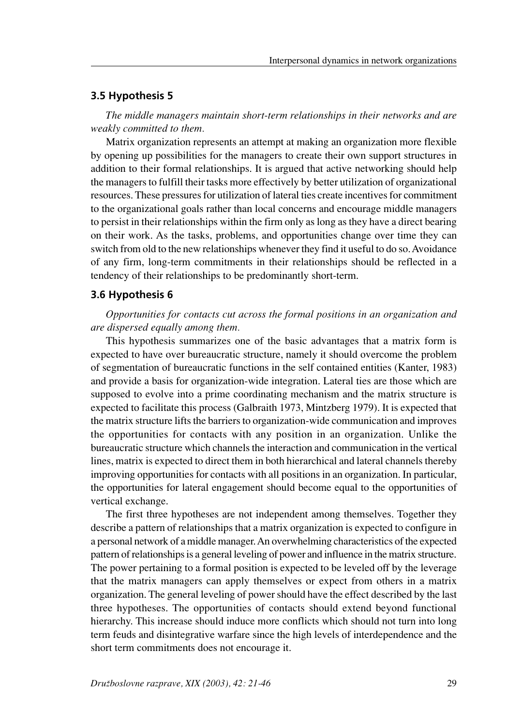#### **3.5 Hypothesis 5**

*The middle managers maintain short-term relationships in their networks and are weakly committed to them.*

Matrix organization represents an attempt at making an organization more flexible by opening up possibilities for the managers to create their own support structures in addition to their formal relationships. It is argued that active networking should help the managers to fulfill their tasks more effectively by better utilization of organizational resources. These pressures for utilization of lateral ties create incentives for commitment to the organizational goals rather than local concerns and encourage middle managers to persist in their relationships within the firm only as long as they have a direct bearing on their work. As the tasks, problems, and opportunities change over time they can switch from old to the new relationships whenever they find it useful to do so. Avoidance of any firm, long-term commitments in their relationships should be reflected in a tendency of their relationships to be predominantly short-term.

#### **3.6 Hypothesis 6**

*Opportunities for contacts cut across the formal positions in an organization and are dispersed equally among them.*

This hypothesis summarizes one of the basic advantages that a matrix form is expected to have over bureaucratic structure, namely it should overcome the problem of segmentation of bureaucratic functions in the self contained entities (Kanter, 1983) and provide a basis for organization-wide integration. Lateral ties are those which are supposed to evolve into a prime coordinating mechanism and the matrix structure is expected to facilitate this process (Galbraith 1973, Mintzberg 1979). It is expected that the matrix structure lifts the barriers to organization-wide communication and improves the opportunities for contacts with any position in an organization. Unlike the bureaucratic structure which channels the interaction and communication in the vertical lines, matrix is expected to direct them in both hierarchical and lateral channels thereby improving opportunities for contacts with all positions in an organization. In particular, the opportunities for lateral engagement should become equal to the opportunities of vertical exchange.

The first three hypotheses are not independent among themselves. Together they describe a pattern of relationships that a matrix organization is expected to configure in a personal network of a middle manager. An overwhelming characteristics of the expected pattern of relationships is a general leveling of power and influence in the matrix structure. The power pertaining to a formal position is expected to be leveled off by the leverage that the matrix managers can apply themselves or expect from others in a matrix organization. The general leveling of power should have the effect described by the last three hypotheses. The opportunities of contacts should extend beyond functional hierarchy. This increase should induce more conflicts which should not turn into long term feuds and disintegrative warfare since the high levels of interdependence and the short term commitments does not encourage it.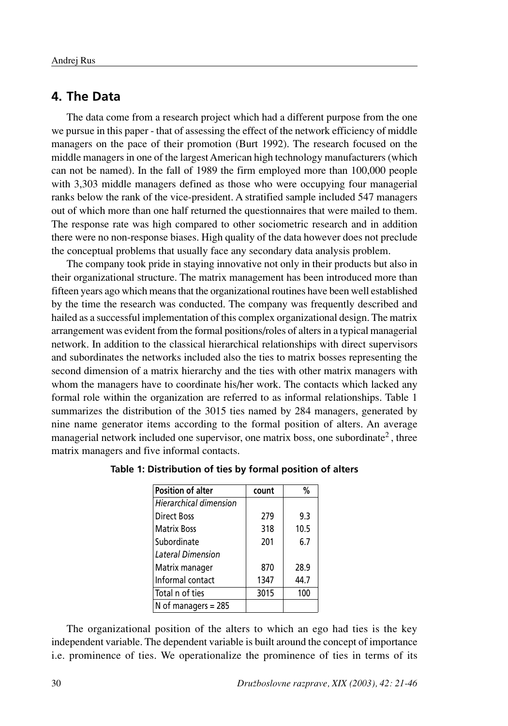# **4. The Data**

The data come from a research project which had a different purpose from the one we pursue in this paper - that of assessing the effect of the network efficiency of middle managers on the pace of their promotion (Burt 1992). The research focused on the middle managers in one of the largest American high technology manufacturers (which can not be named). In the fall of 1989 the firm employed more than 100,000 people with 3,303 middle managers defined as those who were occupying four managerial ranks below the rank of the vice-president. A stratified sample included 547 managers out of which more than one half returned the questionnaires that were mailed to them. The response rate was high compared to other sociometric research and in addition there were no non-response biases. High quality of the data however does not preclude the conceptual problems that usually face any secondary data analysis problem.

The company took pride in staying innovative not only in their products but also in their organizational structure. The matrix management has been introduced more than fifteen years ago which means that the organizational routines have been well established by the time the research was conducted. The company was frequently described and hailed as a successful implementation of this complex organizational design. The matrix arrangement was evident from the formal positions/roles of alters in a typical managerial network. In addition to the classical hierarchical relationships with direct supervisors and subordinates the networks included also the ties to matrix bosses representing the second dimension of a matrix hierarchy and the ties with other matrix managers with whom the managers have to coordinate his/her work. The contacts which lacked any formal role within the organization are referred to as informal relationships. Table 1 summarizes the distribution of the 3015 ties named by 284 managers, generated by nine name generator items according to the formal position of alters. An average managerial network included one supervisor, one matrix boss, one subordinate<sup>2</sup>, three matrix managers and five informal contacts.

| <b>Position of alter</b> | count | %    |
|--------------------------|-------|------|
| Hierarchical dimension   |       |      |
| <b>Direct Boss</b>       | 279   | 9.3  |
| <b>Matrix Boss</b>       | 318   | 10.5 |
| Subordinate              | 201   | 6.7  |
| Lateral Dimension        |       |      |
| Matrix manager           | 870   | 28.9 |
| Informal contact         | 1347  | 44.7 |
| Total n of ties          | 3015  | 100  |
| N of managers $= 285$    |       |      |

**Table 1: Distribution of ties by formal position of alters**

The organizational position of the alters to which an ego had ties is the key independent variable. The dependent variable is built around the concept of importance i.e. prominence of ties. We operationalize the prominence of ties in terms of its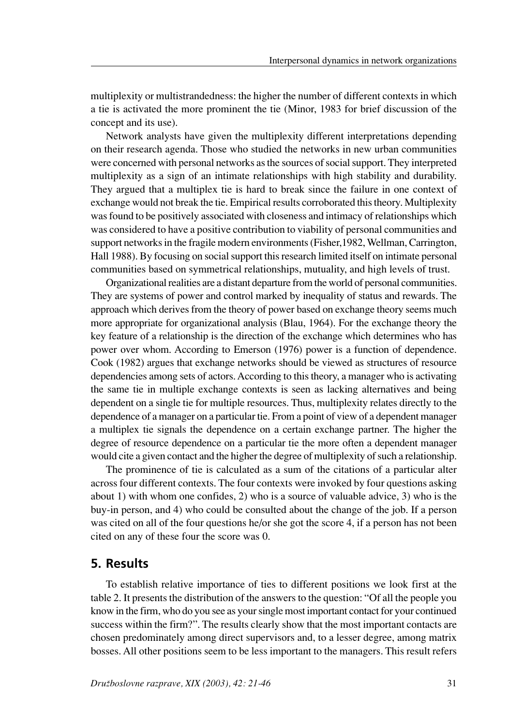multiplexity or multistrandedness: the higher the number of different contexts in which a tie is activated the more prominent the tie (Minor, 1983 for brief discussion of the concept and its use).

Network analysts have given the multiplexity different interpretations depending on their research agenda. Those who studied the networks in new urban communities were concerned with personal networks as the sources of social support. They interpreted multiplexity as a sign of an intimate relationships with high stability and durability. They argued that a multiplex tie is hard to break since the failure in one context of exchange would not break the tie. Empirical results corroborated this theory. Multiplexity was found to be positively associated with closeness and intimacy of relationships which was considered to have a positive contribution to viability of personal communities and support networks in the fragile modern environments (Fisher,1982, Wellman, Carrington, Hall 1988). By focusing on social support this research limited itself on intimate personal communities based on symmetrical relationships, mutuality, and high levels of trust.

Organizational realities are a distant departure from the world of personal communities. They are systems of power and control marked by inequality of status and rewards. The approach which derives from the theory of power based on exchange theory seems much more appropriate for organizational analysis (Blau, 1964). For the exchange theory the key feature of a relationship is the direction of the exchange which determines who has power over whom. According to Emerson (1976) power is a function of dependence. Cook (1982) argues that exchange networks should be viewed as structures of resource dependencies among sets of actors. According to this theory, a manager who is activating the same tie in multiple exchange contexts is seen as lacking alternatives and being dependent on a single tie for multiple resources. Thus, multiplexity relates directly to the dependence of a manager on a particular tie. From a point of view of a dependent manager a multiplex tie signals the dependence on a certain exchange partner. The higher the degree of resource dependence on a particular tie the more often a dependent manager would cite a given contact and the higher the degree of multiplexity of such a relationship.

The prominence of tie is calculated as a sum of the citations of a particular alter across four different contexts. The four contexts were invoked by four questions asking about 1) with whom one confides, 2) who is a source of valuable advice, 3) who is the buy-in person, and 4) who could be consulted about the change of the job. If a person was cited on all of the four questions he/or she got the score 4, if a person has not been cited on any of these four the score was 0.

# **5. Results**

To establish relative importance of ties to different positions we look first at the table 2. It presents the distribution of the answers to the question: "Of all the people you know in the firm, who do you see as your single most important contact for your continued success within the firm?". The results clearly show that the most important contacts are chosen predominately among direct supervisors and, to a lesser degree, among matrix bosses. All other positions seem to be less important to the managers. This result refers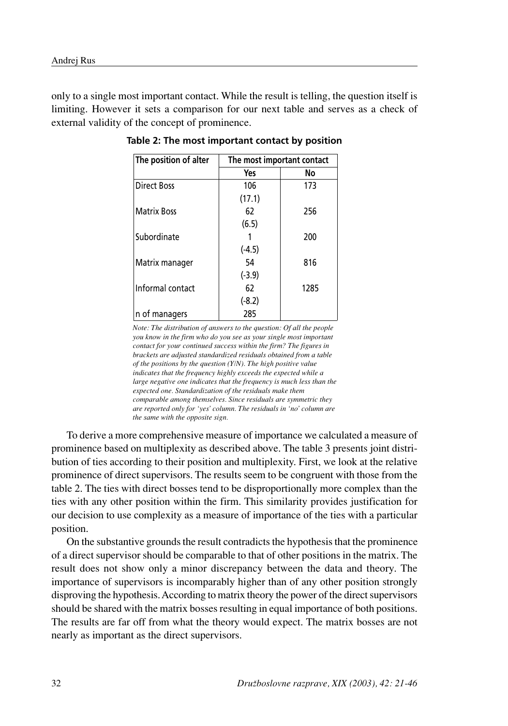only to a single most important contact. While the result is telling, the question itself is limiting. However it sets a comparison for our next table and serves as a check of external validity of the concept of prominence.

| The position of alter | The most important contact |      |  |  |
|-----------------------|----------------------------|------|--|--|
|                       | Yes                        | Νo   |  |  |
| Direct Boss           | 106                        | 173  |  |  |
|                       | (17.1)                     |      |  |  |
| <b>Matrix Boss</b>    | 62                         | 256  |  |  |
|                       | (6.5)                      |      |  |  |
| Subordinate           |                            | 200  |  |  |
|                       | $(-4.5)$                   |      |  |  |
| Matrix manager        | 54                         | 816  |  |  |
|                       | $(-3.9)$                   |      |  |  |
| Informal contact      | 62                         | 1285 |  |  |
|                       | $(-8.2)$                   |      |  |  |
| n of managers         | 285                        |      |  |  |

**Table 2: The most important contact by position**

*Note: The distribution of answers to the question: Of all the people you know in the firm who do you see as your single most important contact for your continued success within the firm? The figures in brackets are adjusted standardized residuals obtained from a table of the positions by the question (Y/N). The high positive value indicates that the frequency highly exceeds the expected while a large negative one indicates that the frequency is much less than the expected one. Standardization of the residuals make them comparable among themselves. Since residuals are symmetric they are reported only for 'yes' column. The residuals in 'no' column are the same with the opposite sign.*

To derive a more comprehensive measure of importance we calculated a measure of prominence based on multiplexity as described above. The table 3 presents joint distribution of ties according to their position and multiplexity. First, we look at the relative prominence of direct supervisors. The results seem to be congruent with those from the table 2. The ties with direct bosses tend to be disproportionally more complex than the ties with any other position within the firm. This similarity provides justification for our decision to use complexity as a measure of importance of the ties with a particular position.

On the substantive grounds the result contradicts the hypothesis that the prominence of a direct supervisor should be comparable to that of other positions in the matrix. The result does not show only a minor discrepancy between the data and theory. The importance of supervisors is incomparably higher than of any other position strongly disproving the hypothesis. According to matrix theory the power of the direct supervisors should be shared with the matrix bosses resulting in equal importance of both positions. The results are far off from what the theory would expect. The matrix bosses are not nearly as important as the direct supervisors.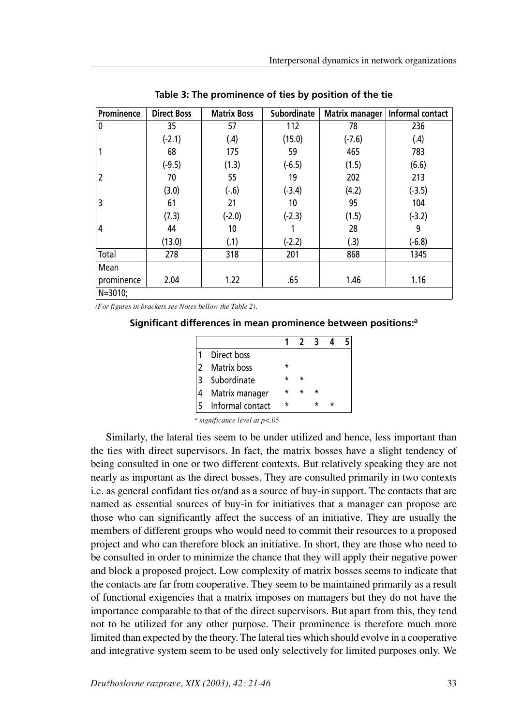| Prominence | <b>Direct Boss</b> | <b>Matrix Boss</b> | <b>Subordinate</b> | <b>Matrix manager</b> | Informal contact |
|------------|--------------------|--------------------|--------------------|-----------------------|------------------|
| 0          | 35                 | 57                 | 112                | 78                    | 236              |
|            | $(-2.1)$           | (.4)               | (15.0)             | $(-7.6)$              | (.4)             |
| 1          | 68                 | 175                | 59                 | 465                   | 783              |
|            | $(-9.5)$           | (1.3)              | $(-6.5)$           | (1.5)                 | (6.6)            |
| 2          | 70                 | 55                 | 19                 | 202                   | 213              |
|            | (3.0)              | $(-.6)$            | $(-3.4)$           | (4.2)                 | $(-3.5)$         |
| 3          | 61                 | 21                 | 10                 | 95                    | 104              |
|            | (7.3)              | $(-2.0)$           | $(-2.3)$           | (1.5)                 | $(-3.2)$         |
| 4          | 44                 | 10                 |                    | 28                    | 9                |
|            | (13.0)             | (.1)               | $(-2.2)$           | (.3)                  | $(-6.8)$         |
| Total      | 278                | 318                | 201                | 868                   | 1345             |
| Mean       |                    |                    |                    |                       |                  |
| prominence | 2.04               | 1.22               | .65                | 1.46                  | 1.16             |
| $N = 3010$ |                    |                    |                    |                       |                  |

**Table 3: The prominence of ties by position of the tie**

*(For figures in brackets see Notes bellow the Table 2).*

**Significant differences in mean prominence between positions:a**

|   | Direct boss      |   |         |   |   |  |
|---|------------------|---|---------|---|---|--|
|   | Matrix boss      | * |         |   |   |  |
| 3 | Subordinate      |   | $\star$ |   |   |  |
| 4 | Matrix manager   |   |         | ÷ |   |  |
|   | Informal contact | * |         | ÷ | ÷ |  |
|   |                  |   |         |   |   |  |

 *a significance level at p<.05*

Similarly, the lateral ties seem to be under utilized and hence, less important than the ties with direct supervisors. In fact, the matrix bosses have a slight tendency of being consulted in one or two different contexts. But relatively speaking they are not nearly as important as the direct bosses. They are consulted primarily in two contexts i.e. as general confidant ties or/and as a source of buy-in support. The contacts that are named as essential sources of buy-in for initiatives that a manager can propose are those who can significantly affect the success of an initiative. They are usually the members of different groups who would need to commit their resources to a proposed project and who can therefore block an initiative. In short, they are those who need to be consulted in order to minimize the chance that they will apply their negative power and block a proposed project. Low complexity of matrix bosses seems to indicate that the contacts are far from cooperative. They seem to be maintained primarily as a result of functional exigencies that a matrix imposes on managers but they do not have the importance comparable to that of the direct supervisors. But apart from this, they tend not to be utilized for any other purpose. Their prominence is therefore much more limited than expected by the theory. The lateral ties which should evolve in a cooperative and integrative system seem to be used only selectively for limited purposes only. We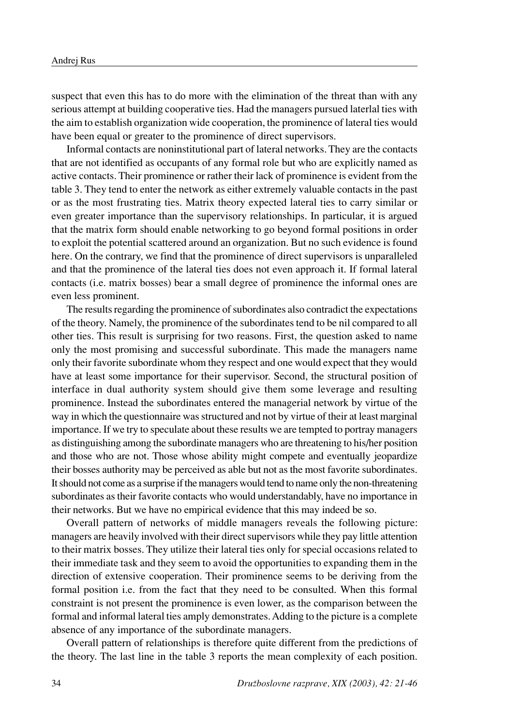suspect that even this has to do more with the elimination of the threat than with any serious attempt at building cooperative ties. Had the managers pursued laterlal ties with the aim to establish organization wide cooperation, the prominence of lateral ties would have been equal or greater to the prominence of direct supervisors.

Informal contacts are noninstitutional part of lateral networks. They are the contacts that are not identified as occupants of any formal role but who are explicitly named as active contacts. Their prominence or rather their lack of prominence is evident from the table 3. They tend to enter the network as either extremely valuable contacts in the past or as the most frustrating ties. Matrix theory expected lateral ties to carry similar or even greater importance than the supervisory relationships. In particular, it is argued that the matrix form should enable networking to go beyond formal positions in order to exploit the potential scattered around an organization. But no such evidence is found here. On the contrary, we find that the prominence of direct supervisors is unparalleled and that the prominence of the lateral ties does not even approach it. If formal lateral contacts (i.e. matrix bosses) bear a small degree of prominence the informal ones are even less prominent.

The results regarding the prominence of subordinates also contradict the expectations of the theory. Namely, the prominence of the subordinates tend to be nil compared to all other ties. This result is surprising for two reasons. First, the question asked to name only the most promising and successful subordinate. This made the managers name only their favorite subordinate whom they respect and one would expect that they would have at least some importance for their supervisor. Second, the structural position of interface in dual authority system should give them some leverage and resulting prominence. Instead the subordinates entered the managerial network by virtue of the way in which the questionnaire was structured and not by virtue of their at least marginal importance. If we try to speculate about these results we are tempted to portray managers as distinguishing among the subordinate managers who are threatening to his/her position and those who are not. Those whose ability might compete and eventually jeopardize their bosses authority may be perceived as able but not as the most favorite subordinates. It should not come as a surprise if the managers would tend to name only the non-threatening subordinates as their favorite contacts who would understandably, have no importance in their networks. But we have no empirical evidence that this may indeed be so.

Overall pattern of networks of middle managers reveals the following picture: managers are heavily involved with their direct supervisors while they pay little attention to their matrix bosses. They utilize their lateral ties only for special occasions related to their immediate task and they seem to avoid the opportunities to expanding them in the direction of extensive cooperation. Their prominence seems to be deriving from the formal position i.e. from the fact that they need to be consulted. When this formal constraint is not present the prominence is even lower, as the comparison between the formal and informal lateral ties amply demonstrates. Adding to the picture is a complete absence of any importance of the subordinate managers.

Overall pattern of relationships is therefore quite different from the predictions of the theory. The last line in the table 3 reports the mean complexity of each position.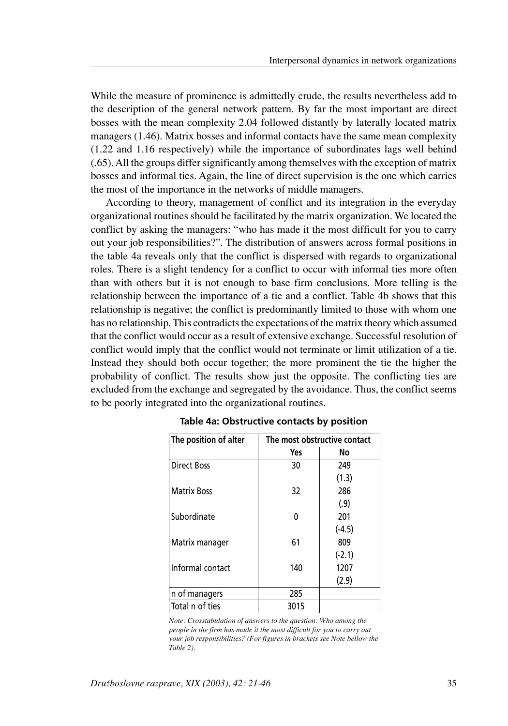While the measure of prominence is admittedly crude, the results nevertheless add to the description of the general network pattern. By far the most important are direct bosses with the mean complexity 2.04 followed distantly by laterally located matrix managers (1.46). Matrix bosses and informal contacts have the same mean complexity (1.22 and 1.16 respectively) while the importance of subordinates lags well behind (.65). All the groups differ significantly among themselves with the exception of matrix bosses and informal ties. Again, the line of direct supervision is the one which carries the most of the importance in the networks of middle managers.

According to theory, management of conflict and its integration in the everyday organizational routines should be facilitated by the matrix organization. We located the conflict by asking the managers: "who has made it the most difficult for you to carry out your job responsibilities?". The distribution of answers across formal positions in the table 4a reveals only that the conflict is dispersed with regards to organizational roles. There is a slight tendency for a conflict to occur with informal ties more often than with others but it is not enough to base firm conclusions. More telling is the relationship between the importance of a tie and a conflict. Table 4b shows that this relationship is negative; the conflict is predominantly limited to those with whom one has no relationship. This contradicts the expectations of the matrix theory which assumed that the conflict would occur as a result of extensive exchange. Successful resolution of conflict would imply that the conflict would not terminate or limit utilization of a tie. Instead they should both occur together; the more prominent the tie the higher the probability of conflict. The results show just the opposite. The conflicting ties are excluded from the exchange and segregated by the avoidance. Thus, the conflict seems to be poorly integrated into the organizational routines.

| The position of alter | The most obstructive contact |          |  |  |  |
|-----------------------|------------------------------|----------|--|--|--|
|                       | Yes                          | No       |  |  |  |
| <b>Direct Boss</b>    | 30                           | 249      |  |  |  |
|                       |                              | (1.3)    |  |  |  |
| <b>Matrix Boss</b>    | 32                           | 286      |  |  |  |
|                       |                              | (.9)     |  |  |  |
| Subordinate           | n                            | 201      |  |  |  |
|                       |                              | $(-4.5)$ |  |  |  |
| Matrix manager        | 61                           | 809      |  |  |  |
|                       |                              | $(-2.1)$ |  |  |  |
| Informal contact      | 140                          | 1207     |  |  |  |
|                       |                              | (2.9)    |  |  |  |
| n of managers         | 285                          |          |  |  |  |
| Total n of ties       | 3015                         |          |  |  |  |

|  | Table 4a: Obstructive contacts by position |  |  |  |
|--|--------------------------------------------|--|--|--|
|--|--------------------------------------------|--|--|--|

*Note: Crosstabulation of answers to the question: Who among the people in the firm has made it the most difficult for you to carry out your job responsibilities? (For figures in brackets see Note bellow the Table 2).*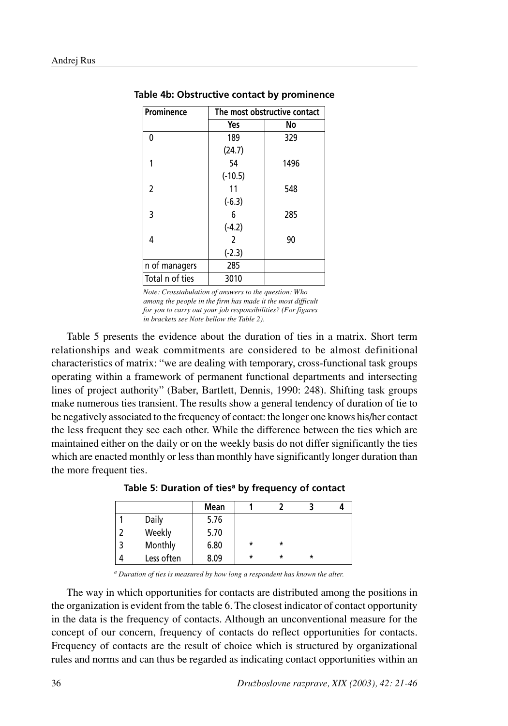| Prominence      | The most obstructive contact |      |  |  |
|-----------------|------------------------------|------|--|--|
|                 | Yes                          | No   |  |  |
| 0               | 189                          | 329  |  |  |
|                 | (24.7)                       |      |  |  |
|                 | 54                           | 1496 |  |  |
|                 | $(-10.5)$                    |      |  |  |
| 2               | 11                           | 548  |  |  |
|                 | $(-6.3)$                     |      |  |  |
| 3               | 6                            | 285  |  |  |
|                 | $(-4.2)$                     |      |  |  |
| 4               | $\overline{2}$               | 90   |  |  |
|                 | $(-2.3)$                     |      |  |  |
| n of managers   | 285                          |      |  |  |
| Total n of ties | 3010                         |      |  |  |

**Table 4b: Obstructive contact by prominence**

*Note: Crosstabulation of answers to the question: Who among the people in the firm has made it the most difficult for you to carry out your job responsibilities? (For figures in brackets see Note bellow the Table 2).*

Table 5 presents the evidence about the duration of ties in a matrix. Short term relationships and weak commitments are considered to be almost definitional characteristics of matrix: "we are dealing with temporary, cross-functional task groups operating within a framework of permanent functional departments and intersecting lines of project authority" (Baber, Bartlett, Dennis, 1990: 248). Shifting task groups make numerous ties transient. The results show a general tendency of duration of tie to be negatively associated to the frequency of contact: the longer one knows his/her contact the less frequent they see each other. While the difference between the ties which are maintained either on the daily or on the weekly basis do not differ significantly the ties which are enacted monthly or less than monthly have significantly longer duration than the more frequent ties.

|            | Mean |          |         |         |  |
|------------|------|----------|---------|---------|--|
| Daily      | 5.76 |          |         |         |  |
| Weekly     | 5.70 |          |         |         |  |
| Monthly    | 6.80 | $\star$  | $\star$ |         |  |
| Less often | 8.09 | $^\star$ | $\star$ | $\star$ |  |

Table 5: Duration of ties<sup>a</sup> by frequency of contact

 *a Duration of ties is measured by how long a respondent has known the alter.*

The way in which opportunities for contacts are distributed among the positions in the organization is evident from the table 6. The closest indicator of contact opportunity in the data is the frequency of contacts. Although an unconventional measure for the concept of our concern, frequency of contacts do reflect opportunities for contacts. Frequency of contacts are the result of choice which is structured by organizational rules and norms and can thus be regarded as indicating contact opportunities within an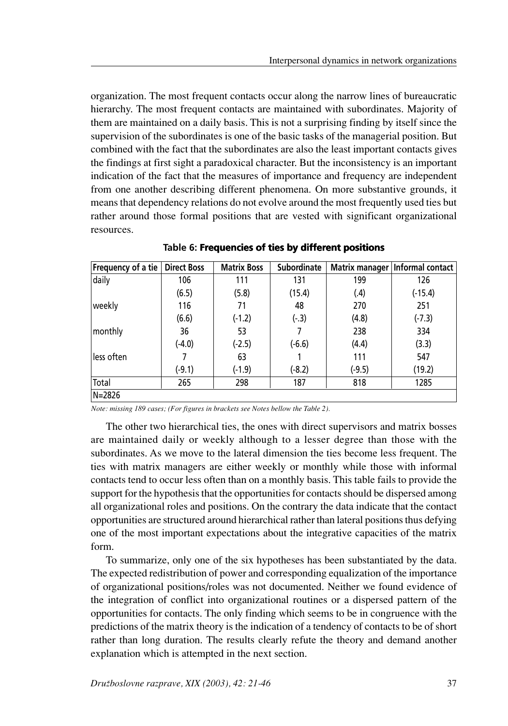organization. The most frequent contacts occur along the narrow lines of bureaucratic hierarchy. The most frequent contacts are maintained with subordinates. Majority of them are maintained on a daily basis. This is not a surprising finding by itself since the supervision of the subordinates is one of the basic tasks of the managerial position. But combined with the fact that the subordinates are also the least important contacts gives the findings at first sight a paradoxical character. But the inconsistency is an important indication of the fact that the measures of importance and frequency are independent from one another describing different phenomena. On more substantive grounds, it means that dependency relations do not evolve around the most frequently used ties but rather around those formal positions that are vested with significant organizational resources.

| Frequency of a tie   Direct Boss |          | <b>Matrix Boss</b> | <b>Subordinate</b> |          | Matrix manager   Informal contact |
|----------------------------------|----------|--------------------|--------------------|----------|-----------------------------------|
| daily                            | 106      | 111                | 131                | 199      | 126                               |
|                                  | (6.5)    | (5.8)              | (15.4)             | (.4)     | $(-15.4)$                         |
| weekly                           | 116      | 71                 | 48                 | 270      | 251                               |
|                                  | (6.6)    | $(-1.2)$           | $(-.3)$            | (4.8)    | $(-7.3)$                          |
| monthly                          | 36       | 53                 |                    | 238      | 334                               |
|                                  | $(-4.0)$ | $(-2.5)$           | $(-6.6)$           | (4.4)    | (3.3)                             |
| less often                       |          | 63                 |                    | 111      | 547                               |
|                                  | $(-9.1)$ | $(-1.9)$           | $(-8.2)$           | $(-9.5)$ | (19.2)                            |
| Total                            | 265      | 298                | 187                | 818      | 1285                              |
| $N = 2826$                       |          |                    |                    |          |                                   |

**Table 6: Frequencies of ties by different positions**

 *Note: missing 189 cases; (For figures in brackets see Notes bellow the Table 2).*

The other two hierarchical ties, the ones with direct supervisors and matrix bosses are maintained daily or weekly although to a lesser degree than those with the subordinates. As we move to the lateral dimension the ties become less frequent. The ties with matrix managers are either weekly or monthly while those with informal contacts tend to occur less often than on a monthly basis. This table fails to provide the support for the hypothesis that the opportunities for contacts should be dispersed among all organizational roles and positions. On the contrary the data indicate that the contact opportunities are structured around hierarchical rather than lateral positions thus defying one of the most important expectations about the integrative capacities of the matrix form.

To summarize, only one of the six hypotheses has been substantiated by the data. The expected redistribution of power and corresponding equalization of the importance of organizational positions/roles was not documented. Neither we found evidence of the integration of conflict into organizational routines or a dispersed pattern of the opportunities for contacts. The only finding which seems to be in congruence with the predictions of the matrix theory is the indication of a tendency of contacts to be of short rather than long duration. The results clearly refute the theory and demand another explanation which is attempted in the next section.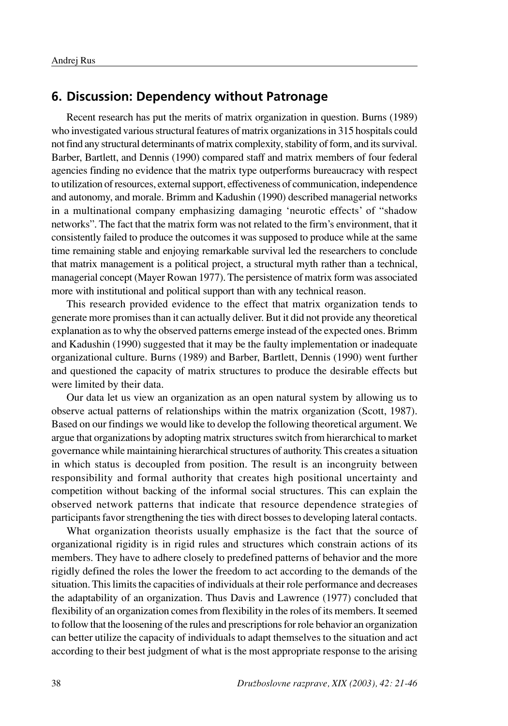# **6. Discussion: Dependency without Patronage**

Recent research has put the merits of matrix organization in question. Burns (1989) who investigated various structural features of matrix organizations in 315 hospitals could not find any structural determinants of matrix complexity, stability of form, and its survival. Barber, Bartlett, and Dennis (1990) compared staff and matrix members of four federal agencies finding no evidence that the matrix type outperforms bureaucracy with respect to utilization of resources, external support, effectiveness of communication, independence and autonomy, and morale. Brimm and Kadushin (1990) described managerial networks in a multinational company emphasizing damaging 'neurotic effects' of "shadow networks". The fact that the matrix form was not related to the firm's environment, that it consistently failed to produce the outcomes it was supposed to produce while at the same time remaining stable and enjoying remarkable survival led the researchers to conclude that matrix management is a political project, a structural myth rather than a technical, managerial concept (Mayer Rowan 1977). The persistence of matrix form was associated more with institutional and political support than with any technical reason.

This research provided evidence to the effect that matrix organization tends to generate more promises than it can actually deliver. But it did not provide any theoretical explanation as to why the observed patterns emerge instead of the expected ones. Brimm and Kadushin (1990) suggested that it may be the faulty implementation or inadequate organizational culture. Burns (1989) and Barber, Bartlett, Dennis (1990) went further and questioned the capacity of matrix structures to produce the desirable effects but were limited by their data.

Our data let us view an organization as an open natural system by allowing us to observe actual patterns of relationships within the matrix organization (Scott, 1987). Based on our findings we would like to develop the following theoretical argument. We argue that organizations by adopting matrix structures switch from hierarchical to market governance while maintaining hierarchical structures of authority. This creates a situation in which status is decoupled from position. The result is an incongruity between responsibility and formal authority that creates high positional uncertainty and competition without backing of the informal social structures. This can explain the observed network patterns that indicate that resource dependence strategies of participants favor strengthening the ties with direct bosses to developing lateral contacts.

What organization theorists usually emphasize is the fact that the source of organizational rigidity is in rigid rules and structures which constrain actions of its members. They have to adhere closely to predefined patterns of behavior and the more rigidly defined the roles the lower the freedom to act according to the demands of the situation. This limits the capacities of individuals at their role performance and decreases the adaptability of an organization. Thus Davis and Lawrence (1977) concluded that flexibility of an organization comes from flexibility in the roles of its members. It seemed to follow that the loosening of the rules and prescriptions for role behavior an organization can better utilize the capacity of individuals to adapt themselves to the situation and act according to their best judgment of what is the most appropriate response to the arising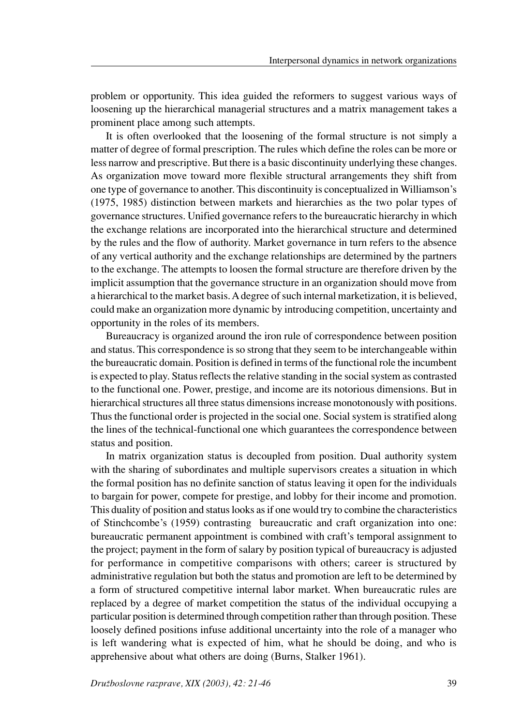problem or opportunity. This idea guided the reformers to suggest various ways of loosening up the hierarchical managerial structures and a matrix management takes a prominent place among such attempts.

It is often overlooked that the loosening of the formal structure is not simply a matter of degree of formal prescription. The rules which define the roles can be more or less narrow and prescriptive. But there is a basic discontinuity underlying these changes. As organization move toward more flexible structural arrangements they shift from one type of governance to another. This discontinuity is conceptualized in Williamson's (1975, 1985) distinction between markets and hierarchies as the two polar types of governance structures. Unified governance refers to the bureaucratic hierarchy in which the exchange relations are incorporated into the hierarchical structure and determined by the rules and the flow of authority. Market governance in turn refers to the absence of any vertical authority and the exchange relationships are determined by the partners to the exchange. The attempts to loosen the formal structure are therefore driven by the implicit assumption that the governance structure in an organization should move from a hierarchical to the market basis. A degree of such internal marketization, it is believed, could make an organization more dynamic by introducing competition, uncertainty and opportunity in the roles of its members.

Bureaucracy is organized around the iron rule of correspondence between position and status. This correspondence is so strong that they seem to be interchangeable within the bureaucratic domain. Position is defined in terms of the functional role the incumbent is expected to play. Status reflects the relative standing in the social system as contrasted to the functional one. Power, prestige, and income are its notorious dimensions. But in hierarchical structures all three status dimensions increase monotonously with positions. Thus the functional order is projected in the social one. Social system is stratified along the lines of the technical-functional one which guarantees the correspondence between status and position.

In matrix organization status is decoupled from position. Dual authority system with the sharing of subordinates and multiple supervisors creates a situation in which the formal position has no definite sanction of status leaving it open for the individuals to bargain for power, compete for prestige, and lobby for their income and promotion. This duality of position and status looks as if one would try to combine the characteristics of Stinchcombe's (1959) contrasting bureaucratic and craft organization into one: bureaucratic permanent appointment is combined with craft's temporal assignment to the project; payment in the form of salary by position typical of bureaucracy is adjusted for performance in competitive comparisons with others; career is structured by administrative regulation but both the status and promotion are left to be determined by a form of structured competitive internal labor market. When bureaucratic rules are replaced by a degree of market competition the status of the individual occupying a particular position is determined through competition rather than through position. These loosely defined positions infuse additional uncertainty into the role of a manager who is left wandering what is expected of him, what he should be doing, and who is apprehensive about what others are doing (Burns, Stalker 1961).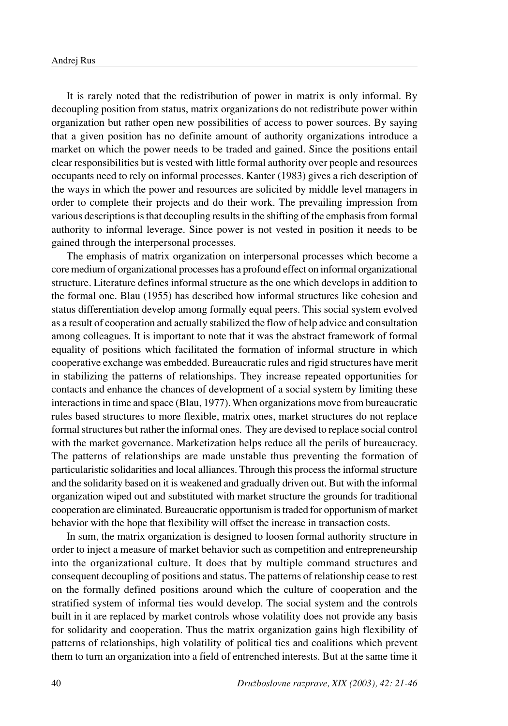It is rarely noted that the redistribution of power in matrix is only informal. By decoupling position from status, matrix organizations do not redistribute power within organization but rather open new possibilities of access to power sources. By saying that a given position has no definite amount of authority organizations introduce a market on which the power needs to be traded and gained. Since the positions entail clear responsibilities but is vested with little formal authority over people and resources occupants need to rely on informal processes. Kanter (1983) gives a rich description of the ways in which the power and resources are solicited by middle level managers in order to complete their projects and do their work. The prevailing impression from various descriptions is that decoupling results in the shifting of the emphasis from formal authority to informal leverage. Since power is not vested in position it needs to be gained through the interpersonal processes.

The emphasis of matrix organization on interpersonal processes which become a core medium of organizational processes has a profound effect on informal organizational structure. Literature defines informal structure as the one which develops in addition to the formal one. Blau (1955) has described how informal structures like cohesion and status differentiation develop among formally equal peers. This social system evolved as a result of cooperation and actually stabilized the flow of help advice and consultation among colleagues. It is important to note that it was the abstract framework of formal equality of positions which facilitated the formation of informal structure in which cooperative exchange was embedded. Bureaucratic rules and rigid structures have merit in stabilizing the patterns of relationships. They increase repeated opportunities for contacts and enhance the chances of development of a social system by limiting these interactions in time and space (Blau, 1977). When organizations move from bureaucratic rules based structures to more flexible, matrix ones, market structures do not replace formal structures but rather the informal ones. They are devised to replace social control with the market governance. Marketization helps reduce all the perils of bureaucracy. The patterns of relationships are made unstable thus preventing the formation of particularistic solidarities and local alliances. Through this process the informal structure and the solidarity based on it is weakened and gradually driven out. But with the informal organization wiped out and substituted with market structure the grounds for traditional cooperation are eliminated. Bureaucratic opportunism is traded for opportunism of market behavior with the hope that flexibility will offset the increase in transaction costs.

In sum, the matrix organization is designed to loosen formal authority structure in order to inject a measure of market behavior such as competition and entrepreneurship into the organizational culture. It does that by multiple command structures and consequent decoupling of positions and status. The patterns of relationship cease to rest on the formally defined positions around which the culture of cooperation and the stratified system of informal ties would develop. The social system and the controls built in it are replaced by market controls whose volatility does not provide any basis for solidarity and cooperation. Thus the matrix organization gains high flexibility of patterns of relationships, high volatility of political ties and coalitions which prevent them to turn an organization into a field of entrenched interests. But at the same time it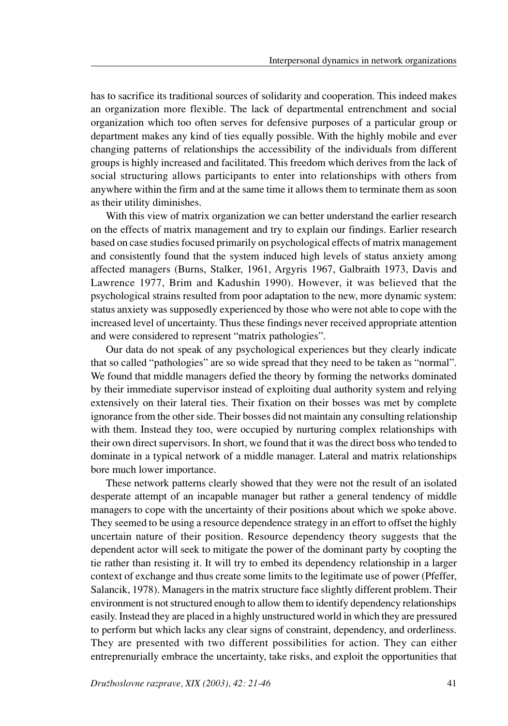has to sacrifice its traditional sources of solidarity and cooperation. This indeed makes an organization more flexible. The lack of departmental entrenchment and social organization which too often serves for defensive purposes of a particular group or department makes any kind of ties equally possible. With the highly mobile and ever changing patterns of relationships the accessibility of the individuals from different groups is highly increased and facilitated. This freedom which derives from the lack of social structuring allows participants to enter into relationships with others from anywhere within the firm and at the same time it allows them to terminate them as soon as their utility diminishes.

With this view of matrix organization we can better understand the earlier research on the effects of matrix management and try to explain our findings. Earlier research based on case studies focused primarily on psychological effects of matrix management and consistently found that the system induced high levels of status anxiety among affected managers (Burns, Stalker, 1961, Argyris 1967, Galbraith 1973, Davis and Lawrence 1977, Brim and Kadushin 1990). However, it was believed that the psychological strains resulted from poor adaptation to the new, more dynamic system: status anxiety was supposedly experienced by those who were not able to cope with the increased level of uncertainty. Thus these findings never received appropriate attention and were considered to represent "matrix pathologies".

Our data do not speak of any psychological experiences but they clearly indicate that so called "pathologies" are so wide spread that they need to be taken as "normal". We found that middle managers defied the theory by forming the networks dominated by their immediate supervisor instead of exploiting dual authority system and relying extensively on their lateral ties. Their fixation on their bosses was met by complete ignorance from the other side. Their bosses did not maintain any consulting relationship with them. Instead they too, were occupied by nurturing complex relationships with their own direct supervisors. In short, we found that it was the direct boss who tended to dominate in a typical network of a middle manager. Lateral and matrix relationships bore much lower importance.

These network patterns clearly showed that they were not the result of an isolated desperate attempt of an incapable manager but rather a general tendency of middle managers to cope with the uncertainty of their positions about which we spoke above. They seemed to be using a resource dependence strategy in an effort to offset the highly uncertain nature of their position. Resource dependency theory suggests that the dependent actor will seek to mitigate the power of the dominant party by coopting the tie rather than resisting it. It will try to embed its dependency relationship in a larger context of exchange and thus create some limits to the legitimate use of power (Pfeffer, Salancik, 1978). Managers in the matrix structure face slightly different problem. Their environment is not structured enough to allow them to identify dependency relationships easily. Instead they are placed in a highly unstructured world in which they are pressured to perform but which lacks any clear signs of constraint, dependency, and orderliness. They are presented with two different possibilities for action. They can either entreprenurially embrace the uncertainty, take risks, and exploit the opportunities that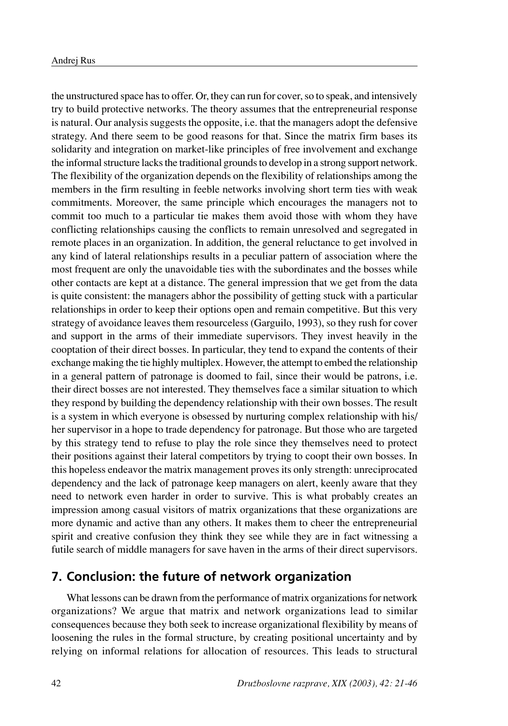the unstructured space has to offer. Or, they can run for cover, so to speak, and intensively try to build protective networks. The theory assumes that the entrepreneurial response is natural. Our analysis suggests the opposite, i.e. that the managers adopt the defensive strategy. And there seem to be good reasons for that. Since the matrix firm bases its solidarity and integration on market-like principles of free involvement and exchange the informal structure lacks the traditional grounds to develop in a strong support network. The flexibility of the organization depends on the flexibility of relationships among the members in the firm resulting in feeble networks involving short term ties with weak commitments. Moreover, the same principle which encourages the managers not to commit too much to a particular tie makes them avoid those with whom they have conflicting relationships causing the conflicts to remain unresolved and segregated in remote places in an organization. In addition, the general reluctance to get involved in any kind of lateral relationships results in a peculiar pattern of association where the most frequent are only the unavoidable ties with the subordinates and the bosses while other contacts are kept at a distance. The general impression that we get from the data is quite consistent: the managers abhor the possibility of getting stuck with a particular relationships in order to keep their options open and remain competitive. But this very strategy of avoidance leaves them resourceless (Garguilo, 1993), so they rush for cover and support in the arms of their immediate supervisors. They invest heavily in the cooptation of their direct bosses. In particular, they tend to expand the contents of their exchange making the tie highly multiplex. However, the attempt to embed the relationship in a general pattern of patronage is doomed to fail, since their would be patrons, i.e. their direct bosses are not interested. They themselves face a similar situation to which they respond by building the dependency relationship with their own bosses. The result is a system in which everyone is obsessed by nurturing complex relationship with his/ her supervisor in a hope to trade dependency for patronage. But those who are targeted by this strategy tend to refuse to play the role since they themselves need to protect their positions against their lateral competitors by trying to coopt their own bosses. In this hopeless endeavor the matrix management proves its only strength: unreciprocated dependency and the lack of patronage keep managers on alert, keenly aware that they need to network even harder in order to survive. This is what probably creates an impression among casual visitors of matrix organizations that these organizations are more dynamic and active than any others. It makes them to cheer the entrepreneurial spirit and creative confusion they think they see while they are in fact witnessing a futile search of middle managers for save haven in the arms of their direct supervisors.

# **7. Conclusion: the future of network organization**

What lessons can be drawn from the performance of matrix organizations for network organizations? We argue that matrix and network organizations lead to similar consequences because they both seek to increase organizational flexibility by means of loosening the rules in the formal structure, by creating positional uncertainty and by relying on informal relations for allocation of resources. This leads to structural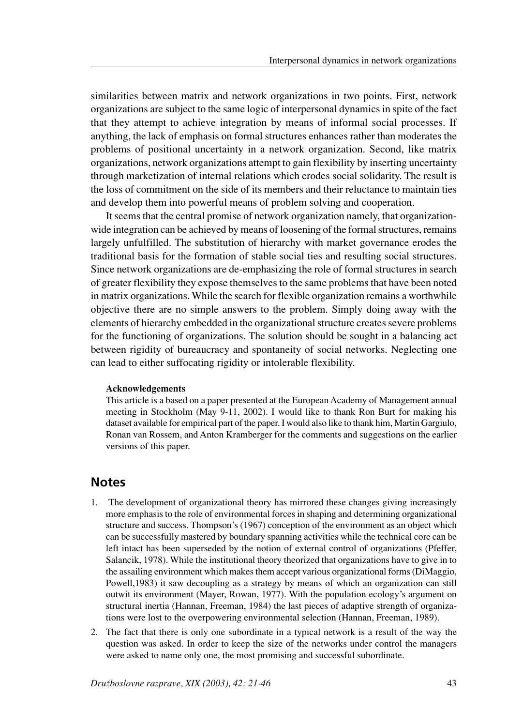similarities between matrix and network organizations in two points. First, network organizations are subject to the same logic of interpersonal dynamics in spite of the fact that they attempt to achieve integration by means of informal social processes. If anything, the lack of emphasis on formal structures enhances rather than moderates the problems of positional uncertainty in a network organization. Second, like matrix organizations, network organizations attempt to gain flexibility by inserting uncertainty through marketization of internal relations which erodes social solidarity. The result is the loss of commitment on the side of its members and their reluctance to maintain ties and develop them into powerful means of problem solving and cooperation.

It seems that the central promise of network organization namely, that organizationwide integration can be achieved by means of loosening of the formal structures, remains largely unfulfilled. The substitution of hierarchy with market governance erodes the traditional basis for the formation of stable social ties and resulting social structures. Since network organizations are de-emphasizing the role of formal structures in search of greater flexibility they expose themselves to the same problems that have been noted in matrix organizations. While the search for flexible organization remains a worthwhile objective there are no simple answers to the problem. Simply doing away with the elements of hierarchy embedded in the organizational structure creates severe problems for the functioning of organizations. The solution should be sought in a balancing act between rigidity of bureaucracy and spontaneity of social networks. Neglecting one can lead to either suffocating rigidity or intolerable flexibility.

#### **Acknowledgements**

This article is a based on a paper presented at the European Academy of Management annual meeting in Stockholm (May 9-11, 2002). I would like to thank Ron Burt for making his dataset available for empirical part of the paper. I would also like to thank him, Martin Gargiulo, Ronan van Rossem, and Anton Kramberger for the comments and suggestions on the earlier versions of this paper.

## **Notes**

- 1. The development of organizational theory has mirrored these changes giving increasingly more emphasis to the role of environmental forces in shaping and determining organizational structure and success. Thompson's (1967) conception of the environment as an object which can be successfully mastered by boundary spanning activities while the technical core can be left intact has been superseded by the notion of external control of organizations (Pfeffer, Salancik, 1978). While the institutional theory theorized that organizations have to give in to the assailing environment which makes them accept various organizational forms (DiMaggio, Powell,1983) it saw decoupling as a strategy by means of which an organization can still outwit its environment (Mayer, Rowan, 1977). With the population ecology's argument on structural inertia (Hannan, Freeman, 1984) the last pieces of adaptive strength of organizations were lost to the overpowering environmental selection (Hannan, Freeman, 1989).
- 2. The fact that there is only one subordinate in a typical network is a result of the way the question was asked. In order to keep the size of the networks under control the managers were asked to name only one, the most promising and successful subordinate.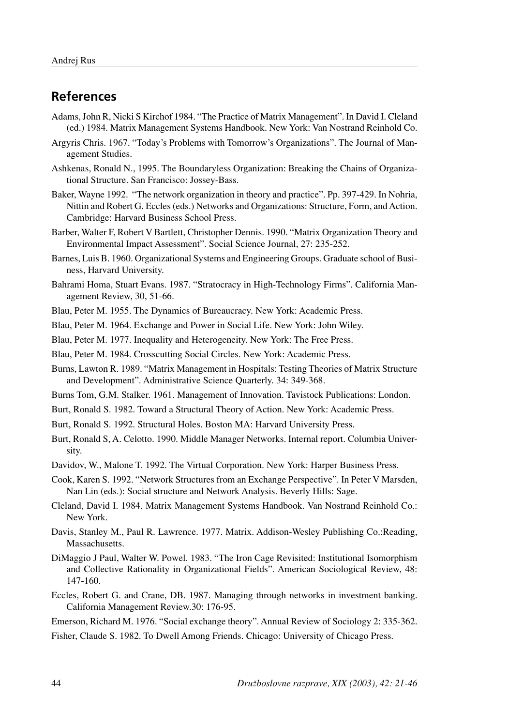# **References**

- Adams, John R, Nicki S Kirchof 1984. "The Practice of Matrix Management". In David I. Cleland (ed.) 1984. Matrix Management Systems Handbook. New York: Van Nostrand Reinhold Co.
- Argyris Chris. 1967. "Today's Problems with Tomorrow's Organizations". The Journal of Management Studies.
- Ashkenas, Ronald N., 1995. The Boundaryless Organization: Breaking the Chains of Organizational Structure. San Francisco: Jossey-Bass.
- Baker, Wayne 1992. "The network organization in theory and practice". Pp. 397-429. In Nohria, Nittin and Robert G. Eccles (eds.) Networks and Organizations: Structure, Form, and Action. Cambridge: Harvard Business School Press.
- Barber, Walter F, Robert V Bartlett, Christopher Dennis. 1990. "Matrix Organization Theory and Environmental Impact Assessment". Social Science Journal, 27: 235-252.
- Barnes, Luis B. 1960. Organizational Systems and Engineering Groups. Graduate school of Business, Harvard University.
- Bahrami Homa, Stuart Evans. 1987. "Stratocracy in High-Technology Firms". California Management Review, 30, 51-66.
- Blau, Peter M. 1955. The Dynamics of Bureaucracy. New York: Academic Press.
- Blau, Peter M. 1964. Exchange and Power in Social Life. New York: John Wiley.

Blau, Peter M. 1977. Inequality and Heterogeneity. New York: The Free Press.

- Blau, Peter M. 1984. Crosscutting Social Circles. New York: Academic Press.
- Burns, Lawton R. 1989. "Matrix Management in Hospitals: Testing Theories of Matrix Structure and Development". Administrative Science Quarterly. 34: 349-368.
- Burns Tom, G.M. Stalker. 1961. Management of Innovation. Tavistock Publications: London.
- Burt, Ronald S. 1982. Toward a Structural Theory of Action. New York: Academic Press.
- Burt, Ronald S. 1992. Structural Holes. Boston MA: Harvard University Press.
- Burt, Ronald S, A. Celotto. 1990. Middle Manager Networks. Internal report. Columbia University.
- Davidov, W., Malone T. 1992. The Virtual Corporation. New York: Harper Business Press.
- Cook, Karen S. 1992. "Network Structures from an Exchange Perspective". In Peter V Marsden, Nan Lin (eds.): Social structure and Network Analysis. Beverly Hills: Sage.
- Cleland, David I. 1984. Matrix Management Systems Handbook. Van Nostrand Reinhold Co.: New York.
- Davis, Stanley M., Paul R. Lawrence. 1977. Matrix. Addison-Wesley Publishing Co.:Reading, Massachusetts.
- DiMaggio J Paul, Walter W. Powel. 1983. "The Iron Cage Revisited: Institutional Isomorphism and Collective Rationality in Organizational Fields". American Sociological Review, 48: 147-160.
- Eccles, Robert G. and Crane, DB. 1987. Managing through networks in investment banking. California Management Review.30: 176-95.
- Emerson, Richard M. 1976. "Social exchange theory". Annual Review of Sociology 2: 335-362.

Fisher, Claude S. 1982. To Dwell Among Friends. Chicago: University of Chicago Press.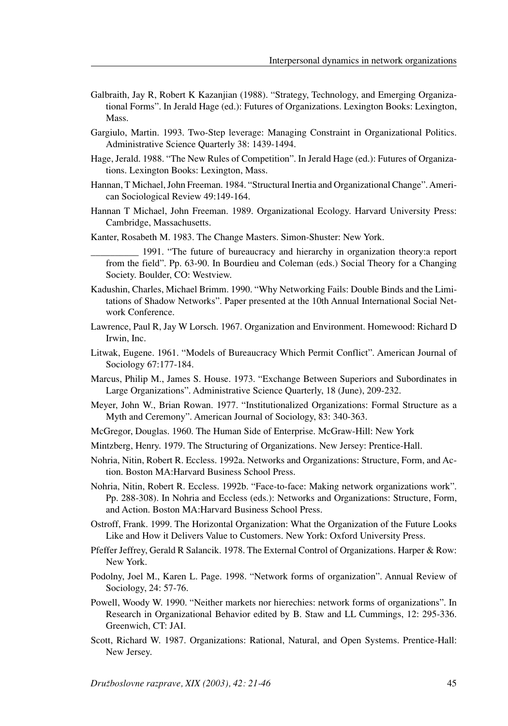- Galbraith, Jay R, Robert K Kazanjian (1988). "Strategy, Technology, and Emerging Organizational Forms". In Jerald Hage (ed.): Futures of Organizations. Lexington Books: Lexington, Mass.
- Gargiulo, Martin. 1993. Two-Step leverage: Managing Constraint in Organizational Politics. Administrative Science Quarterly 38: 1439-1494.
- Hage, Jerald. 1988. "The New Rules of Competition". In Jerald Hage (ed.): Futures of Organizations. Lexington Books: Lexington, Mass.
- Hannan, T Michael, John Freeman. 1984. "Structural Inertia and Organizational Change". American Sociological Review 49:149-164.
- Hannan T Michael, John Freeman. 1989. Organizational Ecology. Harvard University Press: Cambridge, Massachusetts.
- Kanter, Rosabeth M. 1983. The Change Masters. Simon-Shuster: New York.

\_\_\_\_\_\_\_\_\_\_ 1991. "The future of bureaucracy and hierarchy in organization theory:a report from the field". Pp. 63-90. In Bourdieu and Coleman (eds.) Social Theory for a Changing Society. Boulder, CO: Westview.

- Kadushin, Charles, Michael Brimm. 1990. "Why Networking Fails: Double Binds and the Limitations of Shadow Networks". Paper presented at the 10th Annual International Social Network Conference.
- Lawrence, Paul R, Jay W Lorsch. 1967. Organization and Environment. Homewood: Richard D Irwin, Inc.
- Litwak, Eugene. 1961. "Models of Bureaucracy Which Permit Conflict". American Journal of Sociology 67:177-184.
- Marcus, Philip M., James S. House. 1973. "Exchange Between Superiors and Subordinates in Large Organizations". Administrative Science Quarterly, 18 (June), 209-232.
- Meyer, John W., Brian Rowan. 1977. "Institutionalized Organizations: Formal Structure as a Myth and Ceremony". American Journal of Sociology, 83: 340-363.
- McGregor, Douglas. 1960. The Human Side of Enterprise. McGraw-Hill: New York
- Mintzberg, Henry. 1979. The Structuring of Organizations. New Jersey: Prentice-Hall.
- Nohria, Nitin, Robert R. Eccless. 1992a. Networks and Organizations: Structure, Form, and Action. Boston MA:Harvard Business School Press.
- Nohria, Nitin, Robert R. Eccless. 1992b. "Face-to-face: Making network organizations work". Pp. 288-308). In Nohria and Eccless (eds.): Networks and Organizations: Structure, Form, and Action. Boston MA:Harvard Business School Press.
- Ostroff, Frank. 1999. The Horizontal Organization: What the Organization of the Future Looks Like and How it Delivers Value to Customers. New York: Oxford University Press.
- Pfeffer Jeffrey, Gerald R Salancik. 1978. The External Control of Organizations. Harper & Row: New York.
- Podolny, Joel M., Karen L. Page. 1998. "Network forms of organization". Annual Review of Sociology, 24: 57-76.
- Powell, Woody W. 1990. "Neither markets nor hierechies: network forms of organizations". In Research in Organizational Behavior edited by B. Staw and LL Cummings, 12: 295-336. Greenwich, CT: JAI.
- Scott, Richard W. 1987. Organizations: Rational, Natural, and Open Systems. Prentice-Hall: New Jersey.